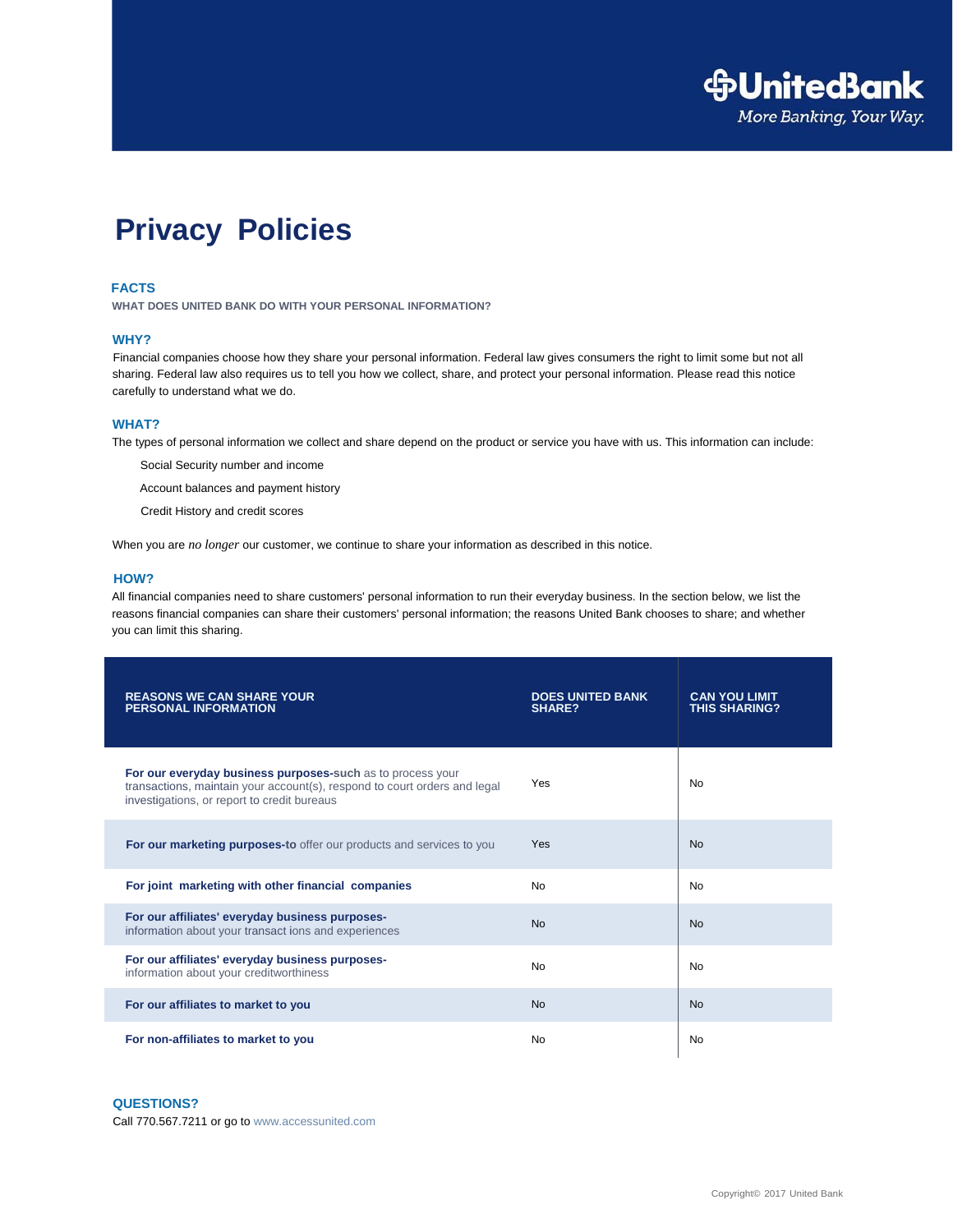

# **Privacy Policies**

### **FACTS**

**WHAT DOES UNITED BANK DO WITH YOUR PERSONAL INFORMATION?**

#### **WHY?**

Financial companies choose how they share your personal information. Federal law gives consumers the right to limit some but not all sharing. Federal law also requires us to tell you how we collect, share, and protect your personal information. Please read this notice carefully to understand what we do.

#### **WHAT?**

The types of personal information we collect and share depend on the product or service you have with us. This information can include:

Social Security number and income

Account balances and payment history

Credit History and credit scores

When you are *no longer* our customer, we continue to share your information as described in this notice.

#### **HOW?**

All financial companies need to share customers' personal information to run their everyday business. In the section below, we list the reasons financial companies can share their customers' personal information; the reasons United Bank chooses to share; and whether you can limit this sharing.

| <b>REASONS WE CAN SHARE YOUR</b><br><b>PERSONAL INFORMATION</b>                                                                                                                        | <b>DOES UNITED BANK</b><br><b>SHARE?</b> | <b>CAN YOU LIMIT</b><br><b>THIS SHARING?</b> |
|----------------------------------------------------------------------------------------------------------------------------------------------------------------------------------------|------------------------------------------|----------------------------------------------|
| For our everyday business purposes-such as to process your<br>transactions, maintain your account(s), respond to court orders and legal<br>investigations, or report to credit bureaus | Yes                                      | <b>No</b>                                    |
| For our marketing purposes-to offer our products and services to you                                                                                                                   | Yes                                      | <b>No</b>                                    |
| For joint marketing with other financial companies                                                                                                                                     | <b>No</b>                                | No                                           |
| For our affiliates' everyday business purposes-<br>information about your transact ions and experiences                                                                                | <b>No</b>                                | <b>No</b>                                    |
| For our affiliates' everyday business purposes-<br>information about your creditworthiness                                                                                             | <b>No</b>                                | No                                           |
| For our affiliates to market to you                                                                                                                                                    | <b>No</b>                                | <b>No</b>                                    |
| For non-affiliates to market to you                                                                                                                                                    | No                                       | No                                           |

## **QUESTIONS?**

Call 770.567.7211 or go to www.accessunited.com